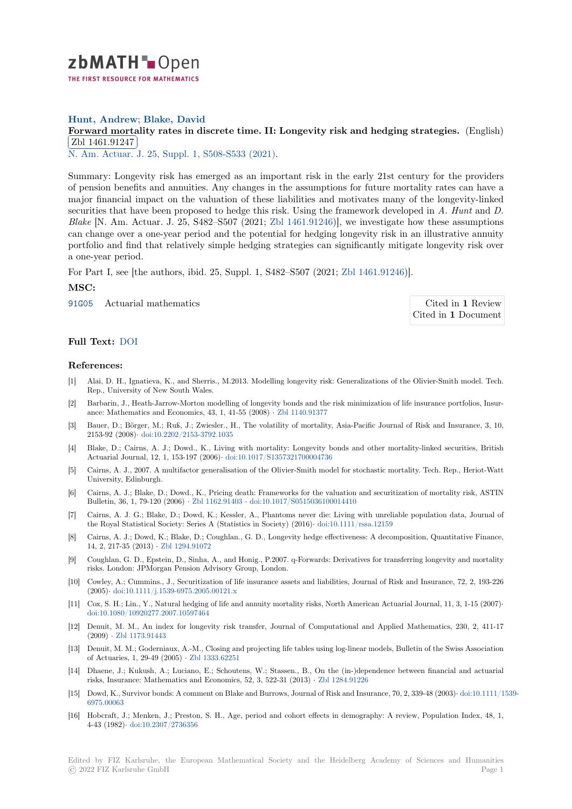

# **Hunt, Andrew**; **Blake, David**

# [F](https://zbmath.org/)orward mortality rates in discrete time. II: Longevity risk and hedging strategies. (English) Zbl 1461.91247

✂ ✁ N. Am. Actuar. J. 25, Suppl. 1, S508-S533 (2021).

[Summary: Longevity risk has emerged as an important risk in the early 21st century for the](https://zbmath.org/1461.91247) providers [of pension benefit](https://zbmath.org/1461.91247)s and annuities. Any changes in the assumptions for future mortality rates can have a [major financial im](https://zbmath.org/journals/?q=se:3081)[pact on the valuation of these](https://zbmath.org/?q=in:462273) liabilities and motivates many of the longevity-linked securities that have been proposed to hedge this risk. Using the framework developed in *A. Hunt* and *D. Blake* [N. Am. Actuar. J. 25, S482–S507 (2021; Zbl 1461.91246)], we investigate how these assumptions can change over a one-year period and the potential for hedging longevity risk in an illustrative annuity portfolio and find that relatively simple hedging strategies can significantly mitigate longevity risk over a one-year period.

For Part I, see [the authors, ibid. 25, Suppl. 1, [S482–S507 \(2021](https://zbmath.org/?q=an:1461.91246); Zbl 1461.91246)].

#### **MSC:**

91G05 Actuarial mathematics Cited in **1** Review

Cited in **1** Document

## **[Full T](https://zbmath.org/classification/?q=cc:91G05)ext:** DOI

## **References:**

- [1] Alai, D. H., Ignatieva, K., and Sherris., M.2013. Modelling longevity risk: Generalizations of the Olivier-Smith model. Tech. Rep., Uni[versit](https://dx.doi.org/10.1080/10920277.2019.1649160)y of New South Wales.
- [2] Barbarin, J., Heath-Jarrow-Morton modelling of longevity bonds and the risk minimization of life insurance portfolios, Insurance: Mathematics and Economics, 43, 1, 41-55 (2008) *·* Zbl 1140.91377
- [3] Bauer, D.; Börger, M.; Ruß, J.; Zwiesler., H., The volatility of mortality, Asia-Pacific Journal of Risk and Insurance, 3, 10, 2153-92 (2008)*·* doi:10.2202/2153-3792.1035
- [4] Blake, D.; Cairns, A. J.; Dowd., K., Living with mortality: Longevity bonds and other mortality-linked securities, British Actuarial Journal, 12, 1, 153-197 (2006)*·* doi:10.1017/S1[35732170000473](https://zbmath.org/1140.91377)6
- [5] Cairns, A. J., 2007. A multifactor generalisation of the Olivier-Smith model for stochastic mortality. Tech. Rep., Heriot-Watt University, Edi[nburgh.](https://dx.doi.org/10.2202/2153-3792.1035)
- [6] Cairns, A. J.; Blake, D.; Dowd., K., Pricing death: Frameworks for the valuation and securitization of mortality risk, ASTIN Bulletin, 36, 1, 79-120 (2006) *·* Zbl 1162.91403 *·* [doi:10.1017/S0515036100](https://dx.doi.org/10.1017/S1357321700004736)014410
- [7] Cairns, A. J. G.; Blake, D.; Dowd, K.; Kessler, A., Phantoms never die: Living with unreliable population data, Journal of the Royal Statistical Society: Series A (Statistics in Society) (2016)*·* doi:10.1111/rssa.12159
- [8] Cairns, A. J.; Dowd, K.; Blake, D.; Coughlan., G. D., Longevity hedge effectiveness: A decomposition, Quantitative Finance, 14, 2, 217-35 (2013) *·* Zbl 1294.[91072](https://zbmath.org/1162.91403)
- [9] Coughlan, G. D., Epstein, D., Sinha, A., and Honig., P.2007. q-Forwards: Derivatives for transferring longevity and mortality risks. London: JPMorgan Pension Advisory Group, London.
- [10] Cowley, A.; Cummins., J., Securitization of life insurance assets and liabilities, Journal of Risk and Insurance, 72, 2, 193-226 (2005)*·* doi:10.1111/j.[1539-6975.2005.](https://zbmath.org/1294.91072)00121.x
- [11] Cox, S. H.; Lin., Y., Natural hedging of life and annuity mortality risks, North American Actuarial Journal, 11, 3, 1-15 (2007)*·* doi:10.1080/10920277.2007.10597464
- [12] Denuit, M. M., An index for longevity risk transfer, Journal of Computational and Applied Mathematics, 230, 2, 411-17 (2009) *·* [Zbl 1173.91443](https://dx.doi.org/10.1111/j.1539-6975.2005.00121.x)
- [13] Denuit, M. M.; Goderniaux, A.-M., Closing and projecting life tables using log-linear models, Bulletin of the Swiss Association [of Actuaries, 1, 29-49 \(2005\)](https://dx.doi.org/10.1080/10920277.2007.10597464) *·* Zbl 1333.62251
- [14] Dhaene, J.; Kukush, A.; Luciano, E.; Schoutens, W.; Stassen., B., On the (in-)dependence between financial and actuarial risks, In[surance: Mathem](https://zbmath.org/1173.91443)atics and Economics, 52, 3, 522-31 (2013) *·* Zbl 1284.91226
- [15] Dowd, K., Survivor bonds: A comment on Blake and Burrows, Journal of Risk and Insurance, 70, 2, 339-48 (2003)*·* doi:10.1111/1539- 6975.00063
- [16] Hobcraft, J.; Menken, J.; Preston, S. H., Age, period and cohort effects in demography: A review, Population Index, 48, 1, 4-43 (1982)*·* doi:10.2307/2736356